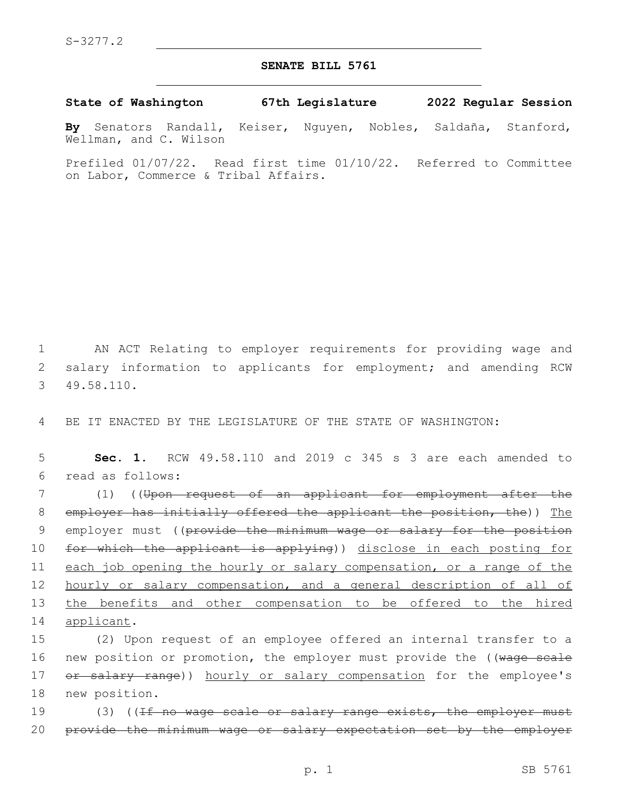## **SENATE BILL 5761**

**State of Washington 67th Legislature 2022 Regular Session**

**By** Senators Randall, Keiser, Nguyen, Nobles, Saldaña, Stanford, Wellman, and C. Wilson

Prefiled 01/07/22. Read first time 01/10/22. Referred to Committee on Labor, Commerce & Tribal Affairs.

1 AN ACT Relating to employer requirements for providing wage and 2 salary information to applicants for employment; and amending RCW 49.58.110.3

4 BE IT ENACTED BY THE LEGISLATURE OF THE STATE OF WASHINGTON:

5 **Sec. 1.** RCW 49.58.110 and 2019 c 345 s 3 are each amended to read as follows:6

7 (1) ((Upon request of an applicant for employment after the 8 employer has initially offered the applicant the position, the)) The 9 employer must ((provide the minimum wage or salary for the position 10 for which the applicant is applying)) disclose in each posting for 11 each job opening the hourly or salary compensation, or a range of the 12 hourly or salary compensation, and a general description of all of 13 the benefits and other compensation to be offered to the hired 14 applicant.

15 (2) Upon request of an employee offered an internal transfer to a 16 new position or promotion, the employer must provide the ((wage scale 17 or salary range)) hourly or salary compensation for the employee's 18 new position.

19 (3) ((<del>If no wage scale or salary range exists, the employer must</del> 20 provide the minimum wage or salary expectation set by the employer